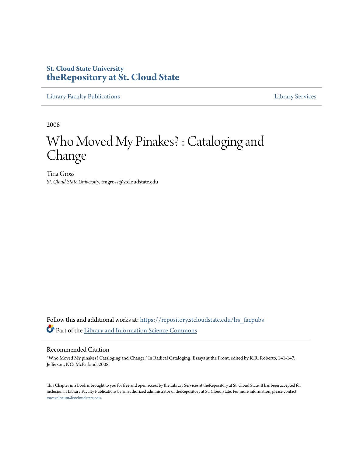## **St. Cloud State University [theRepository at St. Cloud State](https://repository.stcloudstate.edu?utm_source=repository.stcloudstate.edu%2Flrs_facpubs%2F41&utm_medium=PDF&utm_campaign=PDFCoverPages)**

[Library Faculty Publications](https://repository.stcloudstate.edu/lrs_facpubs?utm_source=repository.stcloudstate.edu%2Flrs_facpubs%2F41&utm_medium=PDF&utm_campaign=PDFCoverPages) [Library Services](https://repository.stcloudstate.edu/ls?utm_source=repository.stcloudstate.edu%2Flrs_facpubs%2F41&utm_medium=PDF&utm_campaign=PDFCoverPages)

2008

# Who Moved My Pinakes? : Cataloging and Change

Tina Gross *St. Cloud State University*, tmgross@stcloudstate.edu

Follow this and additional works at: [https://repository.stcloudstate.edu/lrs\\_facpubs](https://repository.stcloudstate.edu/lrs_facpubs?utm_source=repository.stcloudstate.edu%2Flrs_facpubs%2F41&utm_medium=PDF&utm_campaign=PDFCoverPages) Part of the [Library and Information Science Commons](http://network.bepress.com/hgg/discipline/1018?utm_source=repository.stcloudstate.edu%2Flrs_facpubs%2F41&utm_medium=PDF&utm_campaign=PDFCoverPages)

#### Recommended Citation

"Who Moved My pinakes? Cataloging and Change." In Radical Cataloging: Essays at the Front, edited by K.R. Roberto, 141-147. Jefferson, NC: McFarland, 2008.

This Chapter in a Book is brought to you for free and open access by the Library Services at theRepository at St. Cloud State. It has been accepted for inclusion in Library Faculty Publications by an authorized administrator of theRepository at St. Cloud State. For more information, please contact [rswexelbaum@stcloudstate.edu](mailto:rswexelbaum@stcloudstate.edu).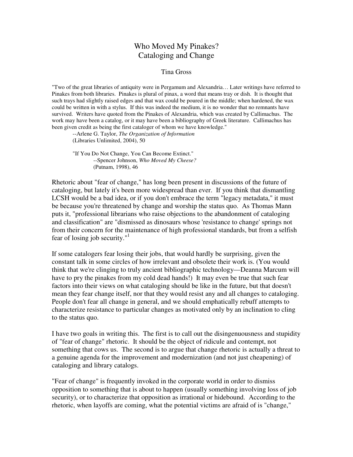### Who Moved My Pinakes? Cataloging and Change

#### Tina Gross

"Two of the great libraries of antiquity were in Pergamum and Alexandria… Later writings have referred to Pinakes from both libraries. Pinakes is plural of pinax, a word that means tray or dish. It is thought that such trays had slightly raised edges and that wax could be poured in the middle; when hardened, the wax could be written in with a stylus. If this was indeed the medium, it is no wonder that no remnants have survived. Writers have quoted from the Pinakes of Alexandria, which was created by Callimachus. The work may have been a catalog, or it may have been a bibliography of Greek literature. Callimachus has been given credit as being the first cataloger of whom we have knowledge."

 --Arlene G. Taylor, *The Organization of Information*  (Libraries Unlimited, 2004), 50

"If You Do Not Change, You Can Become Extinct." --Spencer Johnson, *Who Moved My Cheese?*  (Putnam, 1998), 46

Rhetoric about "fear of change," has long been present in discussions of the future of cataloging, but lately it's been more widespread than ever. If you think that dismantling LCSH would be a bad idea, or if you don't embrace the term "legacy metadata," it must be because you're threatened by change and worship the status quo. As Thomas Mann puts it, "professional librarians who raise objections to the abandonment of cataloging and classification" are "dismissed as dinosaurs whose 'resistance to change' springs not from their concern for the maintenance of high professional standards, but from a selfish fear of losing job security." $\frac{1}{1}$ 

If some catalogers fear losing their jobs, that would hardly be surprising, given the constant talk in some circles of how irrelevant and obsolete their work is. (You would think that we're clinging to truly ancient bibliographic technology—Deanna Marcum will have to pry the pinakes from my cold dead hands!) It may even be true that such fear factors into their views on what cataloging should be like in the future, but that doesn't mean they fear change itself, nor that they would resist any and all changes to cataloging. People don't fear all change in general, and we should emphatically rebuff attempts to characterize resistance to particular changes as motivated only by an inclination to cling to the status quo.

I have two goals in writing this. The first is to call out the disingenuousness and stupidity of "fear of change" rhetoric. It should be the object of ridicule and contempt, not something that cows us. The second is to argue that change rhetoric is actually a threat to a genuine agenda for the improvement and modernization (and not just cheapening) of cataloging and library catalogs.

"Fear of change" is frequently invoked in the corporate world in order to dismiss opposition to something that is about to happen (usually something involving loss of job security), or to characterize that opposition as irrational or hidebound. According to the rhetoric, when layoffs are coming, what the potential victims are afraid of is "change,"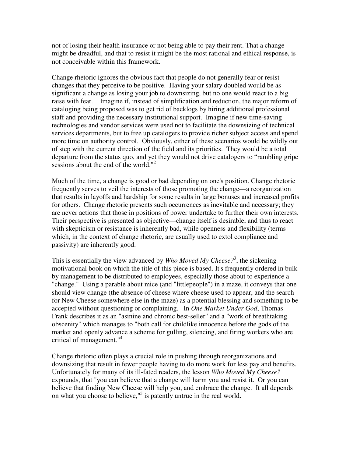not of losing their health insurance or not being able to pay their rent. That a change might be dreadful, and that to resist it might be the most rational and ethical response, is not conceivable within this framework.

Change rhetoric ignores the obvious fact that people do not generally fear or resist changes that they perceive to be positive. Having your salary doubled would be as significant a change as losing your job to downsizing, but no one would react to a big raise with fear. Imagine if, instead of simplification and reduction, the major reform of cataloging being proposed was to get rid of backlogs by hiring additional professional staff and providing the necessary institutional support. Imagine if new time-saving technologies and vendor services were used not to facilitate the downsizing of technical services departments, but to free up catalogers to provide richer subject access and spend more time on authority control. Obviously, either of these scenarios would be wildly out of step with the current direction of the field and its priorities. They would be a total departure from the status quo, and yet they would not drive catalogers to "rambling gripe sessions about the end of the world."<sup>2</sup>

Much of the time, a change is good or bad depending on one's position. Change rhetoric frequently serves to veil the interests of those promoting the change—a reorganization that results in layoffs and hardship for some results in large bonuses and increased profits for others. Change rhetoric presents such occurrences as inevitable and necessary; they are never actions that those in positions of power undertake to further their own interests. Their perspective is presented as objective—change itself is desirable, and thus to react with skepticism or resistance is inherently bad, while openness and flexibility (terms which, in the context of change rhetoric, are usually used to extol compliance and passivity) are inherently good.

This is essentially the view advanced by *Who Moved My Cheese?*<sup>3</sup> , the sickening motivational book on which the title of this piece is based. It's frequently ordered in bulk by management to be distributed to employees, especially those about to experience a "change." Using a parable about mice (and "littlepeople") in a maze, it conveys that one should view change (the absence of cheese where cheese used to appear, and the search for New Cheese somewhere else in the maze) as a potential blessing and something to be accepted without questioning or complaining. In *One Market Under God*, Thomas Frank describes it as an "asinine and chronic best-seller" and a "work of breathtaking obscenity" which manages to "both call for childlike innocence before the gods of the market and openly advance a scheme for gulling, silencing, and firing workers who are critical of management."<sup>4</sup>

Change rhetoric often plays a crucial role in pushing through reorganizations and downsizing that result in fewer people having to do more work for less pay and benefits. Unfortunately for many of its ill-fated readers, the lesson *Who Moved My Cheese?* expounds, that "you can believe that a change will harm you and resist it. Or you can believe that finding New Cheese will help you, and embrace the change. It all depends on what you choose to believe,"<sup>5</sup> is patently untrue in the real world.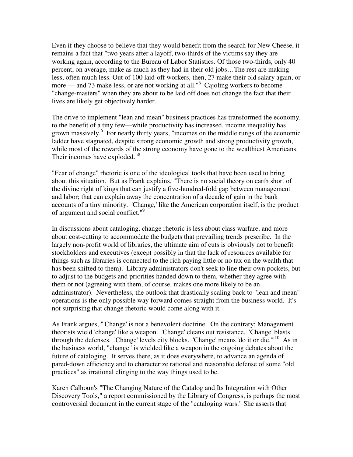Even if they choose to believe that they would benefit from the search for New Cheese, it remains a fact that "two years after a layoff, two-thirds of the victims say they are working again, according to the Bureau of Labor Statistics. Of those two-thirds, only 40 percent, on average, make as much as they had in their old jobs…The rest are making less, often much less. Out of 100 laid-off workers, then, 27 make their old salary again, or more — and 73 make less, or are not working at all."<sup>6</sup> Cajoling workers to become "change-masters" when they are about to be laid off does not change the fact that their lives are likely get objectively harder.

The drive to implement "lean and mean" business practices has transformed the economy, to the benefit of a tiny few—while productivity has increased, income inequality has grown massively.<sup>6</sup> For nearly thirty years, "incomes on the middle rungs of the economic ladder have stagnated, despite strong economic growth and strong productivity growth, while most of the rewards of the strong economy have gone to the wealthiest Americans. Their incomes have exploded."<sup>8</sup>

"Fear of change" rhetoric is one of the ideological tools that have been used to bring about this situation. But as Frank explains, "There is no social theory on earth short of the divine right of kings that can justify a five-hundred-fold gap between management and labor; that can explain away the concentration of a decade of gain in the bank accounts of a tiny minority. 'Change,' like the American corporation itself, is the product of argument and social conflict."<sup>9</sup>

In discussions about cataloging, change rhetoric is less about class warfare, and more about cost-cutting to accommodate the budgets that prevailing trends prescribe. In the largely non-profit world of libraries, the ultimate aim of cuts is obviously not to benefit stockholders and executives (except possibly in that the lack of resources available for things such as libraries is connected to the rich paying little or no tax on the wealth that has been shifted to them). Library administrators don't seek to line their own pockets, but to adjust to the budgets and priorities handed down to them, whether they agree with them or not (agreeing with them, of course, makes one more likely to be an administrator). Nevertheless, the outlook that drastically scaling back to "lean and mean" operations is the only possible way forward comes straight from the business world. It's not surprising that change rhetoric would come along with it.

As Frank argues, "'Change' is not a benevolent doctrine. On the contrary: Management theorists wield 'change' like a weapon. 'Change' cleans out resistance. 'Change' blasts through the defenses. 'Change' levels city blocks. 'Change' means 'do it or die.'"<sup>10</sup> As in the business world, "change" is wielded like a weapon in the ongoing debates about the future of cataloging. It serves there, as it does everywhere, to advance an agenda of pared-down efficiency and to characterize rational and reasonable defense of some "old practices" as irrational clinging to the way things used to be.

Karen Calhoun's "The Changing Nature of the Catalog and Its Integration with Other Discovery Tools," a report commissioned by the Library of Congress, is perhaps the most controversial document in the current stage of the "cataloging wars." She asserts that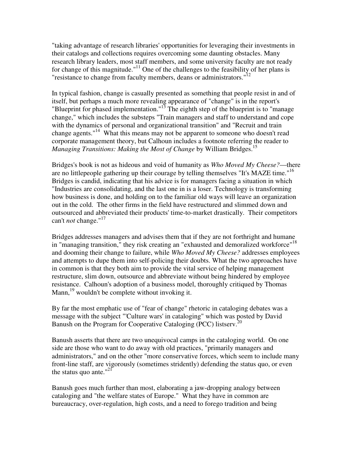"taking advantage of research libraries' opportunities for leveraging their investments in their catalogs and collections requires overcoming some daunting obstacles. Many research library leaders, most staff members, and some university faculty are not ready for change of this magnitude." $11$  One of the challenges to the feasibility of her plans is "resistance to change from faculty members, deans or administrators."<sup>12</sup>

In typical fashion, change is casually presented as something that people resist in and of itself, but perhaps a much more revealing appearance of "change" is in the report's "Blueprint for phased implementation."<sup>13</sup> The eighth step of the blueprint is to "manage" change," which includes the substeps "Train managers and staff to understand and cope with the dynamics of personal and organizational transition" and "Recruit and train change agents."<sup>14</sup> What this means may not be apparent to someone who doesn't read corporate management theory, but Calhoun includes a footnote referring the reader to *Managing Transitions: Making the Most of Change* by William Bridges.<sup>15</sup>

Bridges's book is not as hideous and void of humanity as *Who Moved My Cheese?*—there are no littlepeople gathering up their courage by telling themselves "It's MAZE time."<sup>16</sup> Bridges is candid, indicating that his advice is for managers facing a situation in which "Industries are consolidating, and the last one in is a loser. Technology is transforming how business is done, and holding on to the familiar old ways will leave an organization out in the cold. The other firms in the field have restructured and slimmed down and outsourced and abbreviated their products' time-to-market drastically. Their competitors can't *not* change."<sup>17</sup>

Bridges addresses managers and advises them that if they are not forthright and humane in "managing transition," they risk creating an "exhausted and demoralized workforce"<sup>18</sup> and dooming their change to failure, while *Who Moved My Cheese?* addresses employees and attempts to dupe them into self-policing their doubts. What the two approaches have in common is that they both aim to provide the vital service of helping management restructure, slim down, outsource and abbreviate without being hindered by employee resistance. Calhoun's adoption of a business model, thoroughly critiqued by Thomas Mann, $^{19}$  wouldn't be complete without invoking it.

By far the most emphatic use of "fear of change" rhetoric in cataloging debates was a message with the subject "'Culture wars' in cataloging" which was posted by David Banush on the Program for Cooperative Cataloging (PCC) listserv.<sup>20</sup>

Banush asserts that there are two unequivocal camps in the cataloging world. On one side are those who want to do away with old practices, "primarily managers and administrators," and on the other "more conservative forces, which seem to include many front-line staff, are vigorously (sometimes stridently) defending the status quo, or even the status quo ante."<sup>21</sup>

Banush goes much further than most, elaborating a jaw-dropping analogy between cataloging and "the welfare states of Europe." What they have in common are bureaucracy, over-regulation, high costs, and a need to forego tradition and being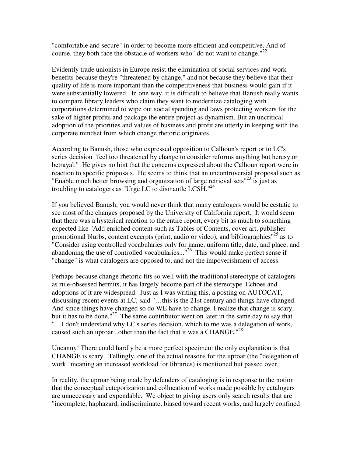"comfortable and secure" in order to become more efficient and competitive. And of course, they both face the obstacle of workers who "do not want to change." $^{22}$ 

Evidently trade unionists in Europe resist the elimination of social services and work benefits because they're "threatened by change," and not because they believe that their quality of life is more important than the competitiveness that business would gain if it were substantially lowered. In one way, it is difficult to believe that Banush really wants to compare library leaders who claim they want to modernize cataloging with corporations determined to wipe out social spending and laws protecting workers for the sake of higher profits and package the entire project as dynamism. But an uncritical adoption of the priorities and values of business and profit are utterly in keeping with the corporate mindset from which change rhetoric originates.

According to Banush, those who expressed opposition to Calhoun's report or to LC's series decision "feel too threatened by change to consider reforms anything but heresy or betrayal." He gives no hint that the concerns expressed about the Calhoun report were in reaction to specific proposals. He seems to think that an uncontroversial proposal such as "Enable much better browsing and organization of large retrieval sets"<sup>23</sup> is just as troubling to catalogers as "Urge LC to dismantle LCSH."<sup>24</sup>

If you believed Banush, you would never think that many catalogers would be ecstatic to see most of the changes proposed by the University of California report. It would seem that there was a hysterical reaction to the entire report, every bit as much to something expected like "Add enriched content such as Tables of Contents, cover art, publisher promotional blurbs, content excerpts (print, audio or video), and bibliographies<sup>"25</sup> as to "Consider using controlled vocabularies only for name, uniform title, date, and place, and abandoning the use of controlled vocabularies..."<sup>26</sup> This would make perfect sense if "change" is what catalogers are opposed to, and not the impoverishment of access.

Perhaps because change rhetoric fits so well with the traditional stereotype of catalogers as rule-obsessed hermits, it has largely become part of the stereotype. Echoes and adoptions of it are widespread. Just as I was writing this, a posting on AUTOCAT, discussing recent events at LC, said "…this is the 21st century and things have changed. And since things have changed so do WE have to change. I realize that change is scary, but it has to be done."<sup>27</sup> The same contributor went on later in the same day to say that "…I don't understand why LC's series decision, which to me was a delegation of work, caused such an uproar...other than the fact that it was a CHANGE."<sup>28</sup>

Uncanny! There could hardly be a more perfect specimen: the only explanation is that CHANGE is scary. Tellingly, one of the actual reasons for the uproar (the "delegation of work" meaning an increased workload for libraries) is mentioned but passed over.

In reality, the uproar being made by defenders of cataloging is in response to the notion that the conceptual categorization and collocation of works made possible by catalogers are unnecessary and expendable. We object to giving users only search results that are "incomplete, haphazard, indiscriminate, biased toward recent works, and largely confined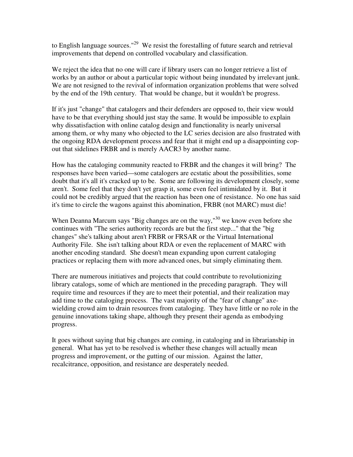to English language sources."<sup>29</sup> We resist the forestalling of future search and retrieval improvements that depend on controlled vocabulary and classification.

We reject the idea that no one will care if library users can no longer retrieve a list of works by an author or about a particular topic without being inundated by irrelevant junk. We are not resigned to the revival of information organization problems that were solved by the end of the 19th century. That would be change, but it wouldn't be progress.

If it's just "change" that catalogers and their defenders are opposed to, their view would have to be that everything should just stay the same. It would be impossible to explain why dissatisfaction with online catalog design and functionality is nearly universal among them, or why many who objected to the LC series decision are also frustrated with the ongoing RDA development process and fear that it might end up a disappointing copout that sidelines FRBR and is merely AACR3 by another name.

How has the cataloging community reacted to FRBR and the changes it will bring? The responses have been varied—some catalogers are ecstatic about the possibilities, some doubt that it's all it's cracked up to be. Some are following its development closely, some aren't. Some feel that they don't yet grasp it, some even feel intimidated by it. But it could not be credibly argued that the reaction has been one of resistance. No one has said it's time to circle the wagons against this abomination, FRBR (not MARC) must die!

When Deanna Marcum says "Big changes are on the way,"<sup>30</sup> we know even before she continues with "The series authority records are but the first step..." that the "big changes" she's talking about aren't FRBR or FRSAR or the Virtual International Authority File. She isn't talking about RDA or even the replacement of MARC with another encoding standard. She doesn't mean expanding upon current cataloging practices or replacing them with more advanced ones, but simply eliminating them.

There are numerous initiatives and projects that could contribute to revolutionizing library catalogs, some of which are mentioned in the preceding paragraph. They will require time and resources if they are to meet their potential, and their realization may add time to the cataloging process. The vast majority of the "fear of change" axewielding crowd aim to drain resources from cataloging. They have little or no role in the genuine innovations taking shape, although they present their agenda as embodying progress.

It goes without saying that big changes are coming, in cataloging and in librarianship in general. What has yet to be resolved is whether these changes will actually mean progress and improvement, or the gutting of our mission. Against the latter, recalcitrance, opposition, and resistance are desperately needed.